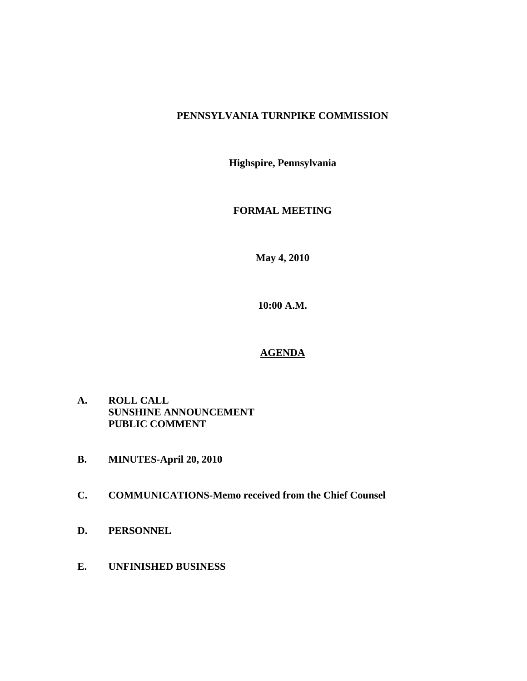# **PENNSYLVANIA TURNPIKE COMMISSION**

**Highspire, Pennsylvania** 

**FORMAL MEETING** 

**May 4, 2010** 

**10:00 A.M.** 

# **AGENDA**

- **A. ROLL CALL SUNSHINE ANNOUNCEMENT PUBLIC COMMENT**
- **B. MINUTES-April 20, 2010**
- **C. COMMUNICATIONS-Memo received from the Chief Counsel**
- **D. PERSONNEL**
- **E. UNFINISHED BUSINESS**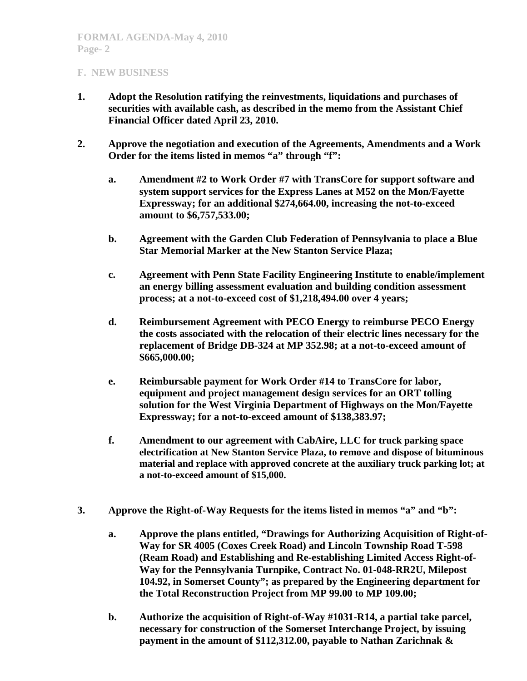- **1. Adopt the Resolution ratifying the reinvestments, liquidations and purchases of securities with available cash, as described in the memo from the Assistant Chief Financial Officer dated April 23, 2010.**
- **2. Approve the negotiation and execution of the Agreements, Amendments and a Work Order for the items listed in memos "a" through "f":** 
	- **a. Amendment #2 to Work Order #7 with TransCore for support software and system support services for the Express Lanes at M52 on the Mon/Fayette Expressway; for an additional \$274,664.00, increasing the not-to-exceed amount to \$6,757,533.00;**
	- **b. Agreement with the Garden Club Federation of Pennsylvania to place a Blue Star Memorial Marker at the New Stanton Service Plaza;**
	- **c. Agreement with Penn State Facility Engineering Institute to enable/implement an energy billing assessment evaluation and building condition assessment process; at a not-to-exceed cost of \$1,218,494.00 over 4 years;**
	- **d. Reimbursement Agreement with PECO Energy to reimburse PECO Energy the costs associated with the relocation of their electric lines necessary for the replacement of Bridge DB-324 at MP 352.98; at a not-to-exceed amount of \$665,000.00;**
	- **e. Reimbursable payment for Work Order #14 to TransCore for labor, equipment and project management design services for an ORT tolling solution for the West Virginia Department of Highways on the Mon/Fayette Expressway; for a not-to-exceed amount of \$138,383.97;**
	- **f. Amendment to our agreement with CabAire, LLC for truck parking space electrification at New Stanton Service Plaza, to remove and dispose of bituminous material and replace with approved concrete at the auxiliary truck parking lot; at a not-to-exceed amount of \$15,000.**
- **3. Approve the Right-of-Way Requests for the items listed in memos "a" and "b":** 
	- **a. Approve the plans entitled, "Drawings for Authorizing Acquisition of Right-of-Way for SR 4005 (Coxes Creek Road) and Lincoln Township Road T-598 (Ream Road) and Establishing and Re-establishing Limited Access Right-of-Way for the Pennsylvania Turnpike, Contract No. 01-048-RR2U, Milepost 104.92, in Somerset County"; as prepared by the Engineering department for the Total Reconstruction Project from MP 99.00 to MP 109.00;**
	- **b. Authorize the acquisition of Right-of-Way #1031-R14, a partial take parcel, necessary for construction of the Somerset Interchange Project, by issuing payment in the amount of \$112,312.00, payable to Nathan Zarichnak &**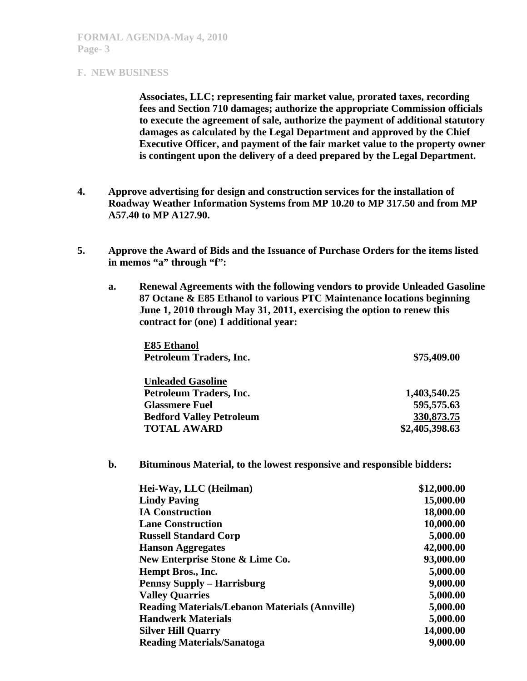**Associates, LLC; representing fair market value, prorated taxes, recording fees and Section 710 damages; authorize the appropriate Commission officials to execute the agreement of sale, authorize the payment of additional statutory damages as calculated by the Legal Department and approved by the Chief Executive Officer, and payment of the fair market value to the property owner is contingent upon the delivery of a deed prepared by the Legal Department.** 

- **4. Approve advertising for design and construction services for the installation of Roadway Weather Information Systems from MP 10.20 to MP 317.50 and from MP A57.40 to MP A127.90.**
- **5. Approve the Award of Bids and the Issuance of Purchase Orders for the items listed**  in memos "a" through "f":
	- **a. Renewal Agreements with the following vendors to provide Unleaded Gasoline 87 Octane & E85 Ethanol to various PTC Maintenance locations beginning June 1, 2010 through May 31, 2011, exercising the option to renew this contract for (one) 1 additional year:**

| <b>E85 Ethanol</b>              |                |
|---------------------------------|----------------|
| Petroleum Traders, Inc.         | \$75,409.00    |
| <b>Unleaded Gasoline</b>        |                |
| Petroleum Traders, Inc.         | 1,403,540.25   |
| <b>Glassmere Fuel</b>           | 595,575.63     |
| <b>Bedford Valley Petroleum</b> | 330,873.75     |
| <b>TOTAL AWARD</b>              | \$2,405,398.63 |

## **b. Bituminous Material, to the lowest responsive and responsible bidders:**

| Hei-Way, LLC (Heilman)                                | \$12,000.00 |
|-------------------------------------------------------|-------------|
| <b>Lindy Paving</b>                                   | 15,000.00   |
| <b>IA Construction</b>                                | 18,000.00   |
| <b>Lane Construction</b>                              | 10,000.00   |
| <b>Russell Standard Corp</b>                          | 5,000.00    |
| <b>Hanson Aggregates</b>                              | 42,000.00   |
| New Enterprise Stone & Lime Co.                       | 93,000.00   |
| Hempt Bros., Inc.                                     | 5,000.00    |
| <b>Pennsy Supply – Harrisburg</b>                     | 9,000.00    |
| <b>Valley Quarries</b>                                | 5,000.00    |
| <b>Reading Materials/Lebanon Materials (Annville)</b> | 5,000.00    |
| <b>Handwerk Materials</b>                             | 5,000.00    |
| <b>Silver Hill Quarry</b>                             | 14,000.00   |
| <b>Reading Materials/Sanatoga</b>                     | 9,000.00    |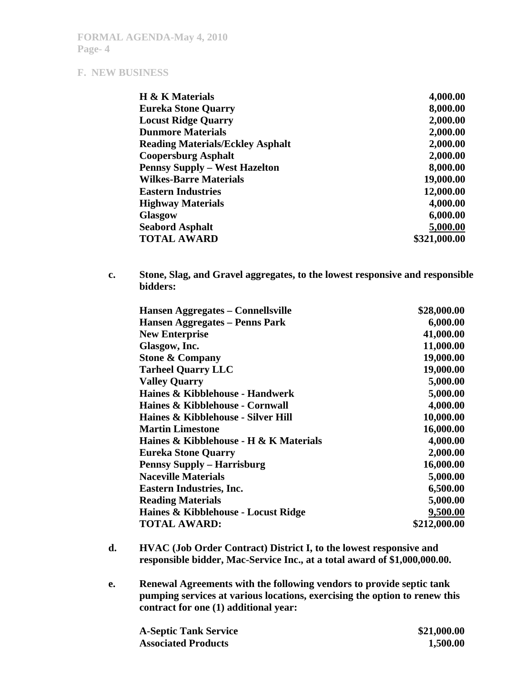| H & K Materials                         | 4,000.00     |
|-----------------------------------------|--------------|
| <b>Eureka Stone Quarry</b>              | 8,000.00     |
| <b>Locust Ridge Quarry</b>              | 2,000.00     |
| <b>Dunmore Materials</b>                | 2,000.00     |
| <b>Reading Materials/Eckley Asphalt</b> | 2,000.00     |
| <b>Coopersburg Asphalt</b>              | 2,000.00     |
| <b>Pennsy Supply - West Hazelton</b>    | 8,000.00     |
| <b>Wilkes-Barre Materials</b>           | 19,000.00    |
| <b>Eastern Industries</b>               | 12,000.00    |
| <b>Highway Materials</b>                | 4,000.00     |
| <b>Glasgow</b>                          | 6,000.00     |
| <b>Seabord Asphalt</b>                  | 5,000.00     |
| <b>TOTAL AWARD</b>                      | \$321,000.00 |

**c. Stone, Slag, and Gravel aggregates, to the lowest responsive and responsible bidders:** 

| Hansen Aggregates – Connellsville      | \$28,000.00  |
|----------------------------------------|--------------|
| Hansen Aggregates – Penns Park         | 6,000.00     |
| <b>New Enterprise</b>                  | 41,000.00    |
| Glasgow, Inc.                          | 11,000.00    |
| <b>Stone &amp; Company</b>             | 19,000.00    |
| <b>Tarheel Quarry LLC</b>              | 19,000.00    |
| <b>Valley Quarry</b>                   | 5,000.00     |
| Haines & Kibblehouse - Handwerk        | 5,000.00     |
| Haines & Kibblehouse - Cornwall        | 4,000.00     |
| Haines & Kibblehouse - Silver Hill     | 10,000.00    |
| <b>Martin Limestone</b>                | 16,000.00    |
| Haines & Kibblehouse - H & K Materials | 4,000.00     |
| <b>Eureka Stone Quarry</b>             | 2,000.00     |
| <b>Pennsy Supply - Harrisburg</b>      | 16,000.00    |
| <b>Naceville Materials</b>             | 5,000.00     |
| <b>Eastern Industries, Inc.</b>        | 6,500.00     |
| <b>Reading Materials</b>               | 5,000.00     |
| Haines & Kibblehouse - Locust Ridge    | 9,500.00     |
| <b>TOTAL AWARD:</b>                    | \$212,000.00 |

- **d. HVAC (Job Order Contract) District I, to the lowest responsive and responsible bidder, Mac-Service Inc., at a total award of \$1,000,000.00.**
- **e. Renewal Agreements with the following vendors to provide septic tank pumping services at various locations, exercising the option to renew this contract for one (1) additional year:**

| <b>A-Septic Tank Service</b> | \$21,000.00 |
|------------------------------|-------------|
| <b>Associated Products</b>   | 1,500.00    |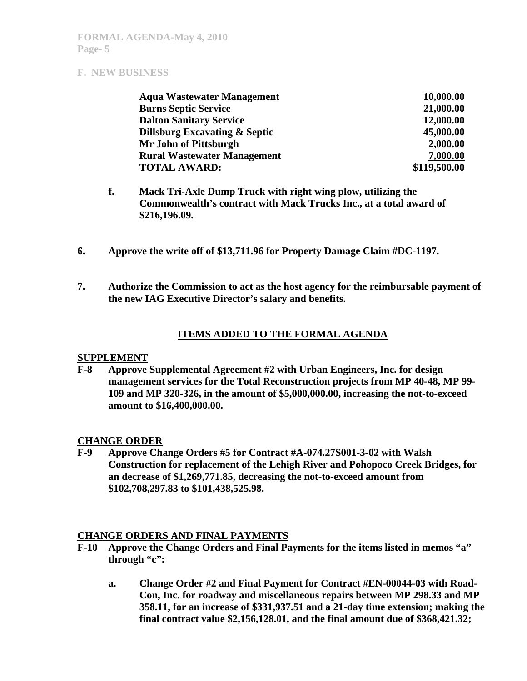| <b>Aqua Wastewater Management</b>  | 10,000.00    |
|------------------------------------|--------------|
| <b>Burns Septic Service</b>        | 21,000.00    |
| <b>Dalton Sanitary Service</b>     | 12,000.00    |
| Dillsburg Excavating & Septic      | 45,000.00    |
| Mr John of Pittsburgh              | 2,000.00     |
| <b>Rural Wastewater Management</b> | 7,000.00     |
| <b>TOTAL AWARD:</b>                | \$119,500.00 |

- **f. Mack Tri-Axle Dump Truck with right wing plow, utilizing the Commonwealth's contract with Mack Trucks Inc., at a total award of \$216,196.09.**
- **6. Approve the write off of \$13,711.96 for Property Damage Claim #DC-1197.**
- **7. Authorize the Commission to act as the host agency for the reimbursable payment of the new IAG Executive Director's salary and benefits.**

## **ITEMS ADDED TO THE FORMAL AGENDA**

#### **SUPPLEMENT**

**F-8 Approve Supplemental Agreement #2 with Urban Engineers, Inc. for design management services for the Total Reconstruction projects from MP 40-48, MP 99- 109 and MP 320-326, in the amount of \$5,000,000.00, increasing the not-to-exceed amount to \$16,400,000.00.** 

## **CHANGE ORDER**

**F-9 Approve Change Orders #5 for Contract #A-074.27S001-3-02 with Walsh Construction for replacement of the Lehigh River and Pohopoco Creek Bridges, for an decrease of \$1,269,771.85, decreasing the not-to-exceed amount from \$102,708,297.83 to \$101,438,525.98.** 

## **CHANGE ORDERS AND FINAL PAYMENTS**

- **F-10 Approve the Change Orders and Final Payments for the items listed in memos "a" through "c":** 
	- **a. Change Order #2 and Final Payment for Contract #EN-00044-03 with Road-Con, Inc. for roadway and miscellaneous repairs between MP 298.33 and MP 358.11, for an increase of \$331,937.51 and a 21-day time extension; making the final contract value \$2,156,128.01, and the final amount due of \$368,421.32;**